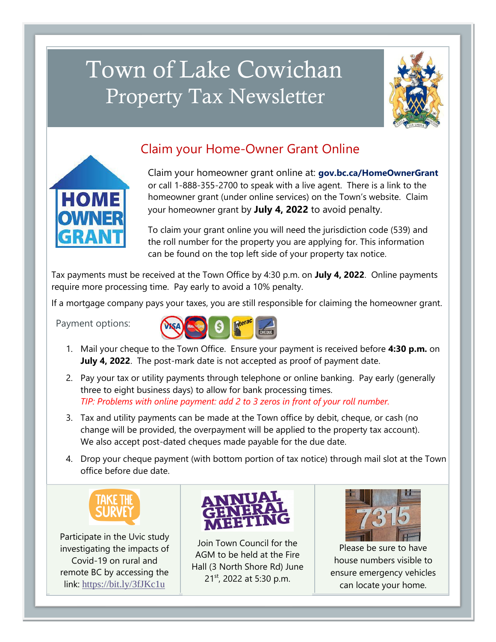# Town of Lake Cowichan Property Tax Newsletter





## Claim your Home-Owner Grant Online

Claim your homeowner grant online at: **gov.bc.ca/HomeOwnerGrant** or call 1-888-355-2700 to speak with a live agent. There is a link to the homeowner grant (under online services) on the Town's website. Claim your homeowner grant by **July 4, 2022** to avoid penalty.

To claim your grant online you will need the jurisdiction code (539) and the roll number for the property you are applying for. This information can be found on the top left side of your property tax notice.

Tax payments must be received at the Town Office by 4:30 p.m. on **July 4, 2022**. Online payments require more processing time. Pay early to avoid a 10% penalty.

If a mortgage company pays your taxes, you are still responsible for claiming the homeowner grant.

Payment options:

I

I

I



- 1. Mail your cheque to the Town Office. Ensure your payment is received before **4:30 p.m.** on **July 4, 2022**. The post-mark date is not accepted as proof of payment date.
- 2. Pay your tax or utility payments through telephone or online banking. Pay early (generally three to eight business days) to allow for bank processing times. *TIP: Problems with online payment: add 2 to 3 zeros in front of your roll number.*
- 3. Tax and utility payments can be made at the Town office by debit, cheque, or cash (no change will be provided, the overpayment will be applied to the property tax account). We also accept post-dated cheques made payable for the due date.
- 4. Drop your cheque payment (with bottom portion of tax notice) through mail slot at the Town office before due date.



Participate in the Uvic study investigating the impacts of Covid-19 on rural and remote BC by accessing the link: <https://bit.ly/3fJKc1u>



Join Town Council for the AGM to be held at the Fire Hall (3 North Shore Rd) June 21<sup>st</sup>, 2022 at 5:30 p.m.



Please be sure to have house numbers visible to ensure emergency vehicles can locate your home.